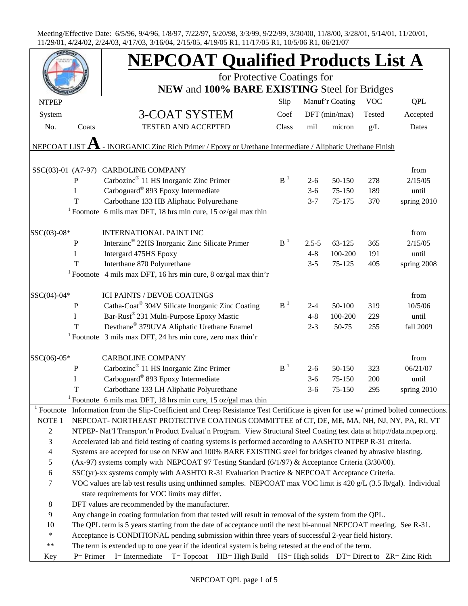|                                                                                                                                                                                                                               |                                                                                                                    | <b>NEPCOAT Qualified Products List A</b>                                                                                                         |                |           |                 |            |             |  |  |
|-------------------------------------------------------------------------------------------------------------------------------------------------------------------------------------------------------------------------------|--------------------------------------------------------------------------------------------------------------------|--------------------------------------------------------------------------------------------------------------------------------------------------|----------------|-----------|-----------------|------------|-------------|--|--|
|                                                                                                                                                                                                                               |                                                                                                                    | for Protective Coatings for                                                                                                                      |                |           |                 |            |             |  |  |
|                                                                                                                                                                                                                               |                                                                                                                    | NEW and 100% BARE EXISTING Steel for Bridges                                                                                                     |                |           |                 |            |             |  |  |
| <b>NTPEP</b>                                                                                                                                                                                                                  |                                                                                                                    |                                                                                                                                                  | Slip           |           | Manuf'r Coating | <b>VOC</b> | <b>QPL</b>  |  |  |
| System                                                                                                                                                                                                                        |                                                                                                                    | <b>3-COAT SYSTEM</b>                                                                                                                             | Coef           |           | DFT (min/max)   | Tested     | Accepted    |  |  |
| No.                                                                                                                                                                                                                           | Coats                                                                                                              | <b>TESTED AND ACCEPTED</b>                                                                                                                       | Class          | mil       | micron          | g/L        | Dates       |  |  |
|                                                                                                                                                                                                                               |                                                                                                                    |                                                                                                                                                  |                |           |                 |            |             |  |  |
| NEPCOAT LIST                                                                                                                                                                                                                  |                                                                                                                    | - INORGANIC Zinc Rich Primer / Epoxy or Urethane Intermediate / Aliphatic Urethane Finish                                                        |                |           |                 |            |             |  |  |
|                                                                                                                                                                                                                               |                                                                                                                    | SSC(03)-01 (A7-97) CARBOLINE COMPANY                                                                                                             |                |           |                 |            | from        |  |  |
|                                                                                                                                                                                                                               | ${\bf P}$                                                                                                          | Carbozinc <sup>®</sup> 11 HS Inorganic Zinc Primer                                                                                               | B <sup>1</sup> | $2 - 6$   | 50-150          | 278        | 2/15/05     |  |  |
|                                                                                                                                                                                                                               | I                                                                                                                  | Carboguard® 893 Epoxy Intermediate                                                                                                               |                | $3-6$     | 75-150          | 189        | until       |  |  |
|                                                                                                                                                                                                                               | T                                                                                                                  | Carbothane 133 HB Aliphatic Polyurethane                                                                                                         |                | $3 - 7$   | 75-175          | 370        | spring 2010 |  |  |
|                                                                                                                                                                                                                               |                                                                                                                    | <sup>1</sup> Footnote 6 mils max DFT, 18 hrs min cure, 15 oz/gal max thin                                                                        |                |           |                 |            |             |  |  |
| SSC(03)-08*                                                                                                                                                                                                                   |                                                                                                                    | <b>INTERNATIONAL PAINT INC</b>                                                                                                                   |                |           |                 |            | from        |  |  |
|                                                                                                                                                                                                                               | $\mathbf P$                                                                                                        | Interzinc <sup>®</sup> 22HS Inorganic Zinc Silicate Primer                                                                                       | B <sup>1</sup> | $2.5 - 5$ | 63-125          | 365        | 2/15/05     |  |  |
|                                                                                                                                                                                                                               | I                                                                                                                  | Intergard 475HS Epoxy                                                                                                                            |                | $4 - 8$   | 100-200         | 191        | until       |  |  |
|                                                                                                                                                                                                                               | T                                                                                                                  | Interthane 870 Polyurethane                                                                                                                      |                | $3 - 5$   | 75-125          | 405        | spring 2008 |  |  |
|                                                                                                                                                                                                                               |                                                                                                                    | <sup>1</sup> Footnote 4 mils max DFT, 16 hrs min cure, 8 oz/gal max thin'r                                                                       |                |           |                 |            |             |  |  |
| SSC(04)-04*                                                                                                                                                                                                                   |                                                                                                                    | <b>ICI PAINTS / DEVOE COATINGS</b>                                                                                                               |                |           |                 |            | from        |  |  |
|                                                                                                                                                                                                                               | $\, {\bf P}$                                                                                                       | Catha-Coat® 304V Silicate Inorganic Zinc Coating                                                                                                 | B <sup>1</sup> | $2 - 4$   | 50-100          | 319        | 10/5/06     |  |  |
|                                                                                                                                                                                                                               | I                                                                                                                  | Bar-Rust® 231 Multi-Purpose Epoxy Mastic                                                                                                         |                | $4 - 8$   | 100-200         | 229        | until       |  |  |
|                                                                                                                                                                                                                               | T                                                                                                                  | Devthane® 379UVA Aliphatic Urethane Enamel                                                                                                       |                | $2 - 3$   | 50-75           | 255        | fall 2009   |  |  |
|                                                                                                                                                                                                                               |                                                                                                                    | <sup>1</sup> Footnote $3$ mils max DFT, 24 hrs min cure, zero max thin'r                                                                         |                |           |                 |            |             |  |  |
| SSC(06)-05*                                                                                                                                                                                                                   |                                                                                                                    | <b>CARBOLINE COMPANY</b>                                                                                                                         |                |           |                 |            | from        |  |  |
|                                                                                                                                                                                                                               | P                                                                                                                  | Carbozinc <sup>®</sup> 11 HS Inorganic Zinc Primer                                                                                               | B <sup>1</sup> | $2 - 6$   | 50-150          | 323        | 06/21/07    |  |  |
|                                                                                                                                                                                                                               | $\bf I$                                                                                                            | Carboguard® 893 Epoxy Intermediate                                                                                                               |                | $3-6$     | 75-150          | 200        | until       |  |  |
|                                                                                                                                                                                                                               | T                                                                                                                  | Carbothane 133 LH Aliphatic Polyurethane                                                                                                         |                | $3-6$     | 75-150          | 295        | spring 2010 |  |  |
|                                                                                                                                                                                                                               |                                                                                                                    | <sup>1</sup> Footnote 6 mils max DFT, 18 hrs min cure, 15 oz/gal max thin                                                                        |                |           |                 |            |             |  |  |
|                                                                                                                                                                                                                               |                                                                                                                    | <sup>1</sup> Footnote Information from the Slip-Coefficient and Creep Resistance Test Certificate is given for use w/ primed bolted connections. |                |           |                 |            |             |  |  |
| NOTE $1$                                                                                                                                                                                                                      |                                                                                                                    | NEPCOAT- NORTHEAST PROTECTIVE COATINGS COMMITTEE of CT, DE, ME, MA, NH, NJ, NY, PA, RI, VT                                                       |                |           |                 |            |             |  |  |
| 2                                                                                                                                                                                                                             |                                                                                                                    | NTPEP- Nat'l Transport'n Product Evaluat'n Program. View Structural Steel Coating test data at http://data.ntpep.org.                            |                |           |                 |            |             |  |  |
| 3                                                                                                                                                                                                                             |                                                                                                                    |                                                                                                                                                  |                |           |                 |            |             |  |  |
| Accelerated lab and field testing of coating systems is performed according to AASHTO NTPEP R-31 criteria.<br>4<br>Systems are accepted for use on NEW and 100% BARE EXISTING steel for bridges cleaned by abrasive blasting. |                                                                                                                    |                                                                                                                                                  |                |           |                 |            |             |  |  |
|                                                                                                                                                                                                                               | 5<br>(Ax-97) systems comply with NEPCOAT 97 Testing Standard (6/1/97) & Acceptance Criteria (3/30/00).             |                                                                                                                                                  |                |           |                 |            |             |  |  |
| 6                                                                                                                                                                                                                             | SSC(yr)-xx systems comply with AASHTO R-31 Evaluation Practice & NEPCOAT Acceptance Criteria.                      |                                                                                                                                                  |                |           |                 |            |             |  |  |
| 7                                                                                                                                                                                                                             | VOC values are lab test results using unthinned samples. NEPCOAT max VOC limit is 420 g/L (3.5 lb/gal). Individual |                                                                                                                                                  |                |           |                 |            |             |  |  |
| state requirements for VOC limits may differ.                                                                                                                                                                                 |                                                                                                                    |                                                                                                                                                  |                |           |                 |            |             |  |  |
|                                                                                                                                                                                                                               | 8<br>DFT values are recommended by the manufacturer.                                                               |                                                                                                                                                  |                |           |                 |            |             |  |  |
| 9                                                                                                                                                                                                                             | Any change in coating formulation from that tested will result in removal of the system from the QPL.              |                                                                                                                                                  |                |           |                 |            |             |  |  |
| 10                                                                                                                                                                                                                            |                                                                                                                    | The QPL term is 5 years starting from the date of acceptance until the next bi-annual NEPCOAT meeting. See R-31.                                 |                |           |                 |            |             |  |  |
| $\ast$                                                                                                                                                                                                                        | Acceptance is CONDITIONAL pending submission within three years of successful 2-year field history.                |                                                                                                                                                  |                |           |                 |            |             |  |  |
| $\ast\ast$                                                                                                                                                                                                                    | The term is extended up to one year if the identical system is being retested at the end of the term.              |                                                                                                                                                  |                |           |                 |            |             |  |  |
| Key                                                                                                                                                                                                                           | $P = Primer$                                                                                                       | I= Intermediate T= Topcoat HB= High Build HS= High solids DT= Direct to ZR= Zinc Rich                                                            |                |           |                 |            |             |  |  |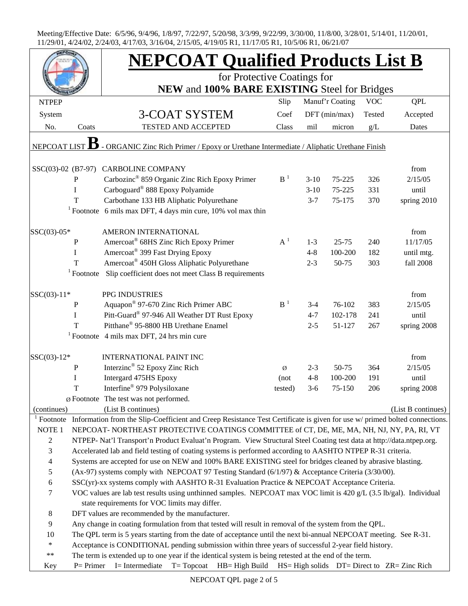|                                       |                                                                                                                                                                                                                         | <b>NEPCOAT Qualified Products List B</b>                                                                                                                            |                |         |                 |            |                    |  |  |
|---------------------------------------|-------------------------------------------------------------------------------------------------------------------------------------------------------------------------------------------------------------------------|---------------------------------------------------------------------------------------------------------------------------------------------------------------------|----------------|---------|-----------------|------------|--------------------|--|--|
|                                       |                                                                                                                                                                                                                         | for Protective Coatings for<br>NEW and 100% BARE EXISTING Steel for Bridges                                                                                         |                |         |                 |            |                    |  |  |
| <b>NTPEP</b>                          |                                                                                                                                                                                                                         |                                                                                                                                                                     | Slip           |         | Manuf'r Coating | <b>VOC</b> | <b>QPL</b>         |  |  |
|                                       |                                                                                                                                                                                                                         |                                                                                                                                                                     | Coef           |         |                 | Tested     |                    |  |  |
| System                                |                                                                                                                                                                                                                         | <b>3-COAT SYSTEM</b>                                                                                                                                                |                |         | $DFT$ (min/max) |            | Accepted           |  |  |
| No.                                   | Coats                                                                                                                                                                                                                   | TESTED AND ACCEPTED                                                                                                                                                 | Class          | mil     | micron          | g/L        | Dates              |  |  |
| NEPCOAT LIST                          |                                                                                                                                                                                                                         | - ORGANIC Zinc Rich Primer / Epoxy or Urethane Intermediate / Aliphatic Urethane Finish                                                                             |                |         |                 |            |                    |  |  |
|                                       |                                                                                                                                                                                                                         | SSC(03)-02 (B7-97) CARBOLINE COMPANY                                                                                                                                |                |         |                 |            | from               |  |  |
|                                       | ${\bf P}$                                                                                                                                                                                                               | Carbozinc <sup>®</sup> 859 Organic Zinc Rich Epoxy Primer                                                                                                           | B <sup>1</sup> | $3-10$  | 75-225          | 326        | 2/15/05            |  |  |
|                                       | I                                                                                                                                                                                                                       | Carboguard® 888 Epoxy Polyamide                                                                                                                                     |                | $3-10$  | 75-225          | 331        | until              |  |  |
|                                       | T                                                                                                                                                                                                                       | Carbothane 133 HB Aliphatic Polyurethane                                                                                                                            |                | $3 - 7$ | 75-175          | 370        | spring 2010        |  |  |
|                                       |                                                                                                                                                                                                                         | <sup>1</sup> Footnote 6 mils max DFT, 4 days min cure, $10\%$ vol max thin                                                                                          |                |         |                 |            |                    |  |  |
| SSC(03)-05*                           |                                                                                                                                                                                                                         | AMERON INTERNATIONAL                                                                                                                                                |                |         |                 |            | from               |  |  |
|                                       | ${\bf P}$                                                                                                                                                                                                               | Amercoat® 68HS Zinc Rich Epoxy Primer                                                                                                                               | $A^1$          | $1-3$   | $25 - 75$       | 240        | 11/17/05           |  |  |
|                                       | I                                                                                                                                                                                                                       | Amercoat® 399 Fast Drying Epoxy                                                                                                                                     |                | $4 - 8$ | 100-200         | 182        | until mtg.         |  |  |
|                                       | T                                                                                                                                                                                                                       | Amercoat <sup>®</sup> 450H Gloss Aliphatic Polyurethane                                                                                                             |                | $2 - 3$ | 50-75           | 303        | fall 2008          |  |  |
|                                       | $1$ Footnote                                                                                                                                                                                                            | Slip coefficient does not meet Class B requirements                                                                                                                 |                |         |                 |            |                    |  |  |
| SSC(03)-11*                           |                                                                                                                                                                                                                         | PPG INDUSTRIES                                                                                                                                                      |                |         |                 |            | from               |  |  |
|                                       | P                                                                                                                                                                                                                       | Aquapon® 97-670 Zinc Rich Primer ABC                                                                                                                                | $B-1$          | $3-4$   | 76-102          | 383        | 2/15/05            |  |  |
|                                       | I                                                                                                                                                                                                                       | Pitt-Guard® 97-946 All Weather DT Rust Epoxy                                                                                                                        |                | $4 - 7$ | 102-178         | 241        | until              |  |  |
|                                       | T                                                                                                                                                                                                                       | Pitthane® 95-8800 HB Urethane Enamel                                                                                                                                |                | $2 - 5$ | 51-127          | 267        | spring 2008        |  |  |
|                                       |                                                                                                                                                                                                                         | <sup>1</sup> Footnote 4 mils max DFT, 24 hrs min cure                                                                                                               |                |         |                 |            |                    |  |  |
|                                       |                                                                                                                                                                                                                         |                                                                                                                                                                     |                |         |                 |            |                    |  |  |
| $SSC(03)-12*$                         |                                                                                                                                                                                                                         | <b>INTERNATIONAL PAINT INC</b>                                                                                                                                      |                |         |                 |            | from               |  |  |
|                                       | ${\bf P}$                                                                                                                                                                                                               | Interzinc <sup>®</sup> 52 Epoxy Zinc Rich                                                                                                                           | Ø              | $2 - 3$ | 50-75           | 364        | 2/15/05            |  |  |
|                                       | I                                                                                                                                                                                                                       | Intergard 475HS Epoxy                                                                                                                                               | (not)          | $4 - 8$ | 100-200         | 191        | until              |  |  |
|                                       | T                                                                                                                                                                                                                       | Interfine <sup>®</sup> 979 Polysiloxane                                                                                                                             | tested)        | $3-6$   | 75-150          | 206        | spring 2008        |  |  |
|                                       |                                                                                                                                                                                                                         | Ø Footnote The test was not performed.                                                                                                                              |                |         |                 |            |                    |  |  |
| (continues)<br>$\frac{1}{1}$ Footnote |                                                                                                                                                                                                                         | (List B continues)                                                                                                                                                  |                |         |                 |            | (List B continues) |  |  |
|                                       |                                                                                                                                                                                                                         | Information from the Slip-Coefficient and Creep Resistance Test Certificate is given for use w/ primed bolted connections.                                          |                |         |                 |            |                    |  |  |
| NOTE <sub>1</sub>                     |                                                                                                                                                                                                                         | NEPCOAT- NORTHEAST PROTECTIVE COATINGS COMMITTEE of CT, DE, ME, MA, NH, NJ, NY, PA, RI, VT                                                                          |                |         |                 |            |                    |  |  |
| $\sqrt{2}$                            |                                                                                                                                                                                                                         | NTPEP- Nat'l Transport'n Product Evaluat'n Program. View Structural Steel Coating test data at http://data.ntpep.org.                                               |                |         |                 |            |                    |  |  |
|                                       | 3<br>Accelerated lab and field testing of coating systems is performed according to AASHTO NTPEP R-31 criteria.                                                                                                         |                                                                                                                                                                     |                |         |                 |            |                    |  |  |
| 5                                     | $\overline{4}$<br>Systems are accepted for use on NEW and 100% BARE EXISTING steel for bridges cleaned by abrasive blasting.                                                                                            |                                                                                                                                                                     |                |         |                 |            |                    |  |  |
|                                       | (Ax-97) systems comply with NEPCOAT 97 Testing Standard (6/1/97) & Acceptance Criteria (3/30/00).<br>SSC(yr)-xx systems comply with AASHTO R-31 Evaluation Practice & NEPCOAT Acceptance Criteria.                      |                                                                                                                                                                     |                |         |                 |            |                    |  |  |
| $\boldsymbol{6}$                      |                                                                                                                                                                                                                         |                                                                                                                                                                     |                |         |                 |            |                    |  |  |
| 7                                     |                                                                                                                                                                                                                         | VOC values are lab test results using unthinned samples. NEPCOAT max VOC limit is 420 g/L (3.5 lb/gal). Individual<br>state requirements for VOC limits may differ. |                |         |                 |            |                    |  |  |
| $\,8\,$                               |                                                                                                                                                                                                                         |                                                                                                                                                                     |                |         |                 |            |                    |  |  |
| $\boldsymbol{9}$                      | DFT values are recommended by the manufacturer.                                                                                                                                                                         |                                                                                                                                                                     |                |         |                 |            |                    |  |  |
| 10                                    | Any change in coating formulation from that tested will result in removal of the system from the QPL.                                                                                                                   |                                                                                                                                                                     |                |         |                 |            |                    |  |  |
| $\ast$                                | The QPL term is 5 years starting from the date of acceptance until the next bi-annual NEPCOAT meeting. See R-31.<br>Acceptance is CONDITIONAL pending submission within three years of successful 2-year field history. |                                                                                                                                                                     |                |         |                 |            |                    |  |  |
| $\ast\ast$                            | The term is extended up to one year if the identical system is being retested at the end of the term.                                                                                                                   |                                                                                                                                                                     |                |         |                 |            |                    |  |  |
| Key                                   | $P = Primer$                                                                                                                                                                                                            | I= Intermediate T= Topcoat HB= High Build HS= High solids DT= Direct to ZR= Zinc Rich                                                                               |                |         |                 |            |                    |  |  |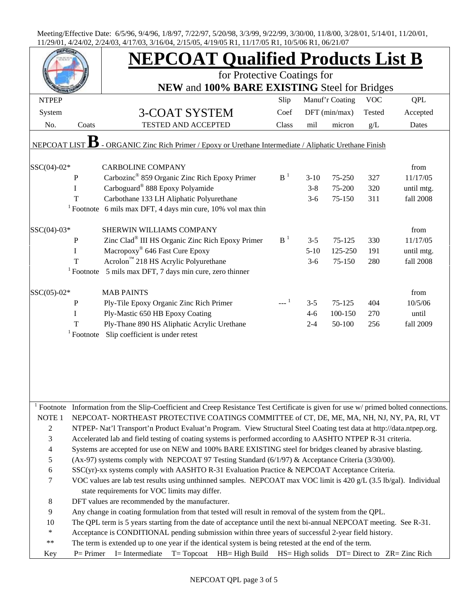|                |                                                                                                                                                                                                                           | <b>NEPCOAT Qualified Products List B</b>                                                                                            |                |         |                 |        |            |  |  |
|----------------|---------------------------------------------------------------------------------------------------------------------------------------------------------------------------------------------------------------------------|-------------------------------------------------------------------------------------------------------------------------------------|----------------|---------|-----------------|--------|------------|--|--|
|                |                                                                                                                                                                                                                           | for Protective Coatings for<br>NEW and 100% BARE EXISTING Steel for Bridges                                                         |                |         |                 |        |            |  |  |
|                |                                                                                                                                                                                                                           |                                                                                                                                     |                |         |                 |        |            |  |  |
| System         |                                                                                                                                                                                                                           | <b>3-COAT SYSTEM</b>                                                                                                                | Coef           |         | $DFT$ (min/max) | Tested | Accepted   |  |  |
| No.            | Coats                                                                                                                                                                                                                     | <b>TESTED AND ACCEPTED</b>                                                                                                          | Class          | mil     | micron          | g/L    | Dates      |  |  |
|                |                                                                                                                                                                                                                           |                                                                                                                                     |                |         |                 |        |            |  |  |
| NEPCOAT LIST   |                                                                                                                                                                                                                           | - ORGANIC Zinc Rich Primer / Epoxy or Urethane Intermediate / Aliphatic Urethane Finish                                             |                |         |                 |        |            |  |  |
| $SSC(04)-02*$  |                                                                                                                                                                                                                           | <b>CARBOLINE COMPANY</b>                                                                                                            |                |         |                 |        | from       |  |  |
|                | $\mathbf{P}$                                                                                                                                                                                                              | Carbozinc <sup>®</sup> 859 Organic Zinc Rich Epoxy Primer                                                                           | $B-1$          | $3-10$  | 75-250          | 327    | 11/17/05   |  |  |
|                | $\mathbf I$                                                                                                                                                                                                               | Carboguard <sup>®</sup> 888 Epoxy Polyamide                                                                                         |                | $3 - 8$ | 75-200          | 320    | until mtg. |  |  |
|                | T                                                                                                                                                                                                                         | Carbothane 133 LH Aliphatic Polyurethane                                                                                            |                | $3-6$   | 75-150          | 311    | fall 2008  |  |  |
|                |                                                                                                                                                                                                                           | <sup>1</sup> Footnote 6 mils max DFT, 4 days min cure, $10\%$ vol max thin                                                          |                |         |                 |        |            |  |  |
|                |                                                                                                                                                                                                                           |                                                                                                                                     |                |         |                 |        |            |  |  |
| $SSC(04)-03*$  |                                                                                                                                                                                                                           | SHERWIN WILLIAMS COMPANY                                                                                                            |                |         |                 |        | from       |  |  |
|                | $\mathbf{P}$                                                                                                                                                                                                              | Zinc Clad <sup>®</sup> III HS Organic Zinc Rich Epoxy Primer                                                                        | B <sup>1</sup> | $3 - 5$ | 75-125          | 330    | 11/17/05   |  |  |
|                | I                                                                                                                                                                                                                         | Macropoxy <sup>®</sup> 646 Fast Cure Epoxy                                                                                          |                | $5-10$  | 125-250         | 191    | until mtg. |  |  |
|                | T                                                                                                                                                                                                                         | Acrolon™ 218 HS Acrylic Polyurethane                                                                                                |                | $3-6$   | 75-150          | 280    | fall 2008  |  |  |
|                |                                                                                                                                                                                                                           | $1$ Footnote 5 mils max DFT, 7 days min cure, zero thinner                                                                          |                |         |                 |        |            |  |  |
| SSC(05)-02*    |                                                                                                                                                                                                                           | <b>MAB PAINTS</b>                                                                                                                   |                |         |                 |        | from       |  |  |
|                | $\, {\bf P}$                                                                                                                                                                                                              | Ply-Tile Epoxy Organic Zinc Rich Primer                                                                                             |                | $3 - 5$ | 75-125          | 404    | 10/5/06    |  |  |
|                | I                                                                                                                                                                                                                         | Ply-Mastic 650 HB Epoxy Coating                                                                                                     |                | $4 - 6$ | 100-150         | 270    | until      |  |  |
|                | T                                                                                                                                                                                                                         | Ply-Thane 890 HS Aliphatic Acrylic Urethane                                                                                         |                | $2 - 4$ | 50-100          | 256    | fall 2009  |  |  |
|                |                                                                                                                                                                                                                           | <sup>1</sup> Footnote Slip coefficient is under retest                                                                              |                |         |                 |        |            |  |  |
|                |                                                                                                                                                                                                                           |                                                                                                                                     |                |         |                 |        |            |  |  |
|                |                                                                                                                                                                                                                           |                                                                                                                                     |                |         |                 |        |            |  |  |
|                |                                                                                                                                                                                                                           |                                                                                                                                     |                |         |                 |        |            |  |  |
|                |                                                                                                                                                                                                                           |                                                                                                                                     |                |         |                 |        |            |  |  |
|                |                                                                                                                                                                                                                           |                                                                                                                                     |                |         |                 |        |            |  |  |
|                |                                                                                                                                                                                                                           | Footnote Information from the Slip-Coefficient and Creep Resistance Test Certificate is given for use w/ primed bolted connections. |                |         |                 |        |            |  |  |
| NOTE 1         |                                                                                                                                                                                                                           | NEPCOAT-NORTHEAST PROTECTIVE COATINGS COMMITTEE of CT, DE, ME, MA, NH, NJ, NY, PA, RI, VT                                           |                |         |                 |        |            |  |  |
| $\overline{c}$ |                                                                                                                                                                                                                           | NTPEP- Nat'l Transport'n Product Evaluat'n Program. View Structural Steel Coating test data at http://data.ntpep.org.               |                |         |                 |        |            |  |  |
| $\mathfrak{Z}$ | Accelerated lab and field testing of coating systems is performed according to AASHTO NTPEP R-31 criteria.                                                                                                                |                                                                                                                                     |                |         |                 |        |            |  |  |
| $\overline{4}$ |                                                                                                                                                                                                                           | Systems are accepted for use on NEW and 100% BARE EXISTING steel for bridges cleaned by abrasive blasting.                          |                |         |                 |        |            |  |  |
| $\mathfrak s$  |                                                                                                                                                                                                                           | (Ax-97) systems comply with NEPCOAT 97 Testing Standard (6/1/97) & Acceptance Criteria (3/30/00).                                   |                |         |                 |        |            |  |  |
| 6              | SSC(yr)-xx systems comply with AASHTO R-31 Evaluation Practice & NEPCOAT Acceptance Criteria.                                                                                                                             |                                                                                                                                     |                |         |                 |        |            |  |  |
| $\tau$         | VOC values are lab test results using unthinned samples. NEPCOAT max VOC limit is 420 g/L (3.5 lb/gal). Individual<br>state requirements for VOC limits may differ.                                                       |                                                                                                                                     |                |         |                 |        |            |  |  |
| $\,8\,$        |                                                                                                                                                                                                                           | DFT values are recommended by the manufacturer.                                                                                     |                |         |                 |        |            |  |  |
| $\overline{9}$ |                                                                                                                                                                                                                           |                                                                                                                                     |                |         |                 |        |            |  |  |
| 10             | Any change in coating formulation from that tested will result in removal of the system from the QPL.<br>The QPL term is 5 years starting from the date of acceptance until the next bi-annual NEPCOAT meeting. See R-31. |                                                                                                                                     |                |         |                 |        |            |  |  |
| $\ast$         | Acceptance is CONDITIONAL pending submission within three years of successful 2-year field history.                                                                                                                       |                                                                                                                                     |                |         |                 |        |            |  |  |
| $\ast\ast$     | The term is extended up to one year if the identical system is being retested at the end of the term.                                                                                                                     |                                                                                                                                     |                |         |                 |        |            |  |  |
| Key            | $P = Primer$                                                                                                                                                                                                              | I= Intermediate<br>$T = Topcot$ HB= High Build HS= High solids DT= Direct to ZR= Zinc Rich                                          |                |         |                 |        |            |  |  |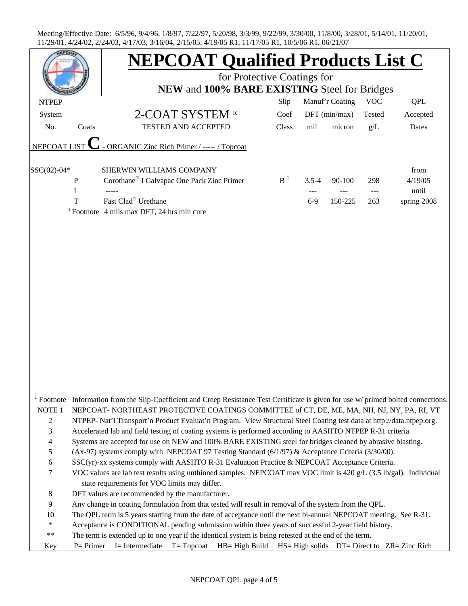|                          |                                                                                                                                                                                                                           | <b>NEPCOAT Qualified Products List C</b>                                                                                            |       |           |                 |            |             |  |  |
|--------------------------|---------------------------------------------------------------------------------------------------------------------------------------------------------------------------------------------------------------------------|-------------------------------------------------------------------------------------------------------------------------------------|-------|-----------|-----------------|------------|-------------|--|--|
|                          |                                                                                                                                                                                                                           | for Protective Coatings for                                                                                                         |       |           |                 |            |             |  |  |
|                          |                                                                                                                                                                                                                           | NEW and 100% BARE EXISTING Steel for Bridges                                                                                        |       |           |                 |            |             |  |  |
| <b>NTPEP</b>             |                                                                                                                                                                                                                           |                                                                                                                                     | Slip  |           | Manuf'r Coating | <b>VOC</b> | <b>QPL</b>  |  |  |
| System                   |                                                                                                                                                                                                                           | 2-COAT SYSTEM 10                                                                                                                    | Coef  |           | DFT (min/max)   | Tested     | Accepted    |  |  |
| No.                      | Coats                                                                                                                                                                                                                     | TESTED AND ACCEPTED                                                                                                                 | Class | mil       | micron          | g/L        | Dates       |  |  |
| NEPCOAT LIST             |                                                                                                                                                                                                                           | - ORGANIC Zinc Rich Primer / ----- / Topcoat                                                                                        |       |           |                 |            |             |  |  |
| SSC(02)-04*              |                                                                                                                                                                                                                           | SHERWIN WILLIAMS COMPANY                                                                                                            |       |           |                 |            | from        |  |  |
|                          | $\, {\bf P}$                                                                                                                                                                                                              | Corothane® I Galvapac One Pack Zinc Primer                                                                                          | $B-1$ | $3.5 - 4$ | 90-100          | 298        | 4/19/05     |  |  |
|                          | I                                                                                                                                                                                                                         |                                                                                                                                     |       |           |                 | ---        | until       |  |  |
|                          | T                                                                                                                                                                                                                         | Fast Clad® Urethane                                                                                                                 |       | $6-9$     | 150-225         | 263        | spring 2008 |  |  |
|                          |                                                                                                                                                                                                                           | <sup>1</sup> Footnote 4 mils max DFT, 24 hrs min cure                                                                               |       |           |                 |            |             |  |  |
|                          |                                                                                                                                                                                                                           |                                                                                                                                     |       |           |                 |            |             |  |  |
|                          |                                                                                                                                                                                                                           |                                                                                                                                     |       |           |                 |            |             |  |  |
|                          |                                                                                                                                                                                                                           |                                                                                                                                     |       |           |                 |            |             |  |  |
|                          |                                                                                                                                                                                                                           |                                                                                                                                     |       |           |                 |            |             |  |  |
|                          |                                                                                                                                                                                                                           |                                                                                                                                     |       |           |                 |            |             |  |  |
|                          |                                                                                                                                                                                                                           |                                                                                                                                     |       |           |                 |            |             |  |  |
|                          |                                                                                                                                                                                                                           |                                                                                                                                     |       |           |                 |            |             |  |  |
|                          |                                                                                                                                                                                                                           |                                                                                                                                     |       |           |                 |            |             |  |  |
|                          |                                                                                                                                                                                                                           |                                                                                                                                     |       |           |                 |            |             |  |  |
|                          |                                                                                                                                                                                                                           |                                                                                                                                     |       |           |                 |            |             |  |  |
|                          |                                                                                                                                                                                                                           |                                                                                                                                     |       |           |                 |            |             |  |  |
|                          |                                                                                                                                                                                                                           |                                                                                                                                     |       |           |                 |            |             |  |  |
|                          |                                                                                                                                                                                                                           |                                                                                                                                     |       |           |                 |            |             |  |  |
|                          |                                                                                                                                                                                                                           |                                                                                                                                     |       |           |                 |            |             |  |  |
|                          |                                                                                                                                                                                                                           |                                                                                                                                     |       |           |                 |            |             |  |  |
|                          |                                                                                                                                                                                                                           |                                                                                                                                     |       |           |                 |            |             |  |  |
|                          |                                                                                                                                                                                                                           |                                                                                                                                     |       |           |                 |            |             |  |  |
|                          |                                                                                                                                                                                                                           |                                                                                                                                     |       |           |                 |            |             |  |  |
|                          |                                                                                                                                                                                                                           | Footnote Information from the Slip-Coefficient and Creep Resistance Test Certificate is given for use w/ primed bolted connections. |       |           |                 |            |             |  |  |
| NOTE 1                   |                                                                                                                                                                                                                           | NEPCOAT-NORTHEAST PROTECTIVE COATINGS COMMITTEE of CT, DE, ME, MA, NH, NJ, NY, PA, RI, VT                                           |       |           |                 |            |             |  |  |
| 2                        | NTPEP- Nat'l Transport'n Product Evaluat'n Program. View Structural Steel Coating test data at http://data.ntpep.org.                                                                                                     |                                                                                                                                     |       |           |                 |            |             |  |  |
| 3                        |                                                                                                                                                                                                                           | Accelerated lab and field testing of coating systems is performed according to AASHTO NTPEP R-31 criteria.                          |       |           |                 |            |             |  |  |
| $\overline{\mathcal{A}}$ |                                                                                                                                                                                                                           | Systems are accepted for use on NEW and 100% BARE EXISTING steel for bridges cleaned by abrasive blasting.                          |       |           |                 |            |             |  |  |
| $\mathfrak s$            |                                                                                                                                                                                                                           | (Ax-97) systems comply with NEPCOAT 97 Testing Standard (6/1/97) & Acceptance Criteria (3/30/00).                                   |       |           |                 |            |             |  |  |
| $\boldsymbol{6}$         | SSC(yr)-xx systems comply with AASHTO R-31 Evaluation Practice & NEPCOAT Acceptance Criteria.                                                                                                                             |                                                                                                                                     |       |           |                 |            |             |  |  |
| 7                        |                                                                                                                                                                                                                           | VOC values are lab test results using unthinned samples. NEPCOAT max VOC limit is 420 g/L (3.5 lb/gal). Individual                  |       |           |                 |            |             |  |  |
|                          |                                                                                                                                                                                                                           | state requirements for VOC limits may differ.                                                                                       |       |           |                 |            |             |  |  |
| 8                        | DFT values are recommended by the manufacturer.                                                                                                                                                                           |                                                                                                                                     |       |           |                 |            |             |  |  |
| 9                        |                                                                                                                                                                                                                           |                                                                                                                                     |       |           |                 |            |             |  |  |
| 10                       | Any change in coating formulation from that tested will result in removal of the system from the QPL.<br>The QPL term is 5 years starting from the date of acceptance until the next bi-annual NEPCOAT meeting. See R-31. |                                                                                                                                     |       |           |                 |            |             |  |  |
| $\ast$                   |                                                                                                                                                                                                                           |                                                                                                                                     |       |           |                 |            |             |  |  |
| $***$                    | Acceptance is CONDITIONAL pending submission within three years of successful 2-year field history.<br>The term is extended up to one year if the identical system is being retested at the end of the term.              |                                                                                                                                     |       |           |                 |            |             |  |  |
|                          |                                                                                                                                                                                                                           |                                                                                                                                     |       |           |                 |            |             |  |  |
| Key                      | $P = Primer$                                                                                                                                                                                                              | I= Intermediate<br>$T = Topcot$ HB= High Build HS= High solids DT= Direct to ZR= Zinc Rich                                          |       |           |                 |            |             |  |  |